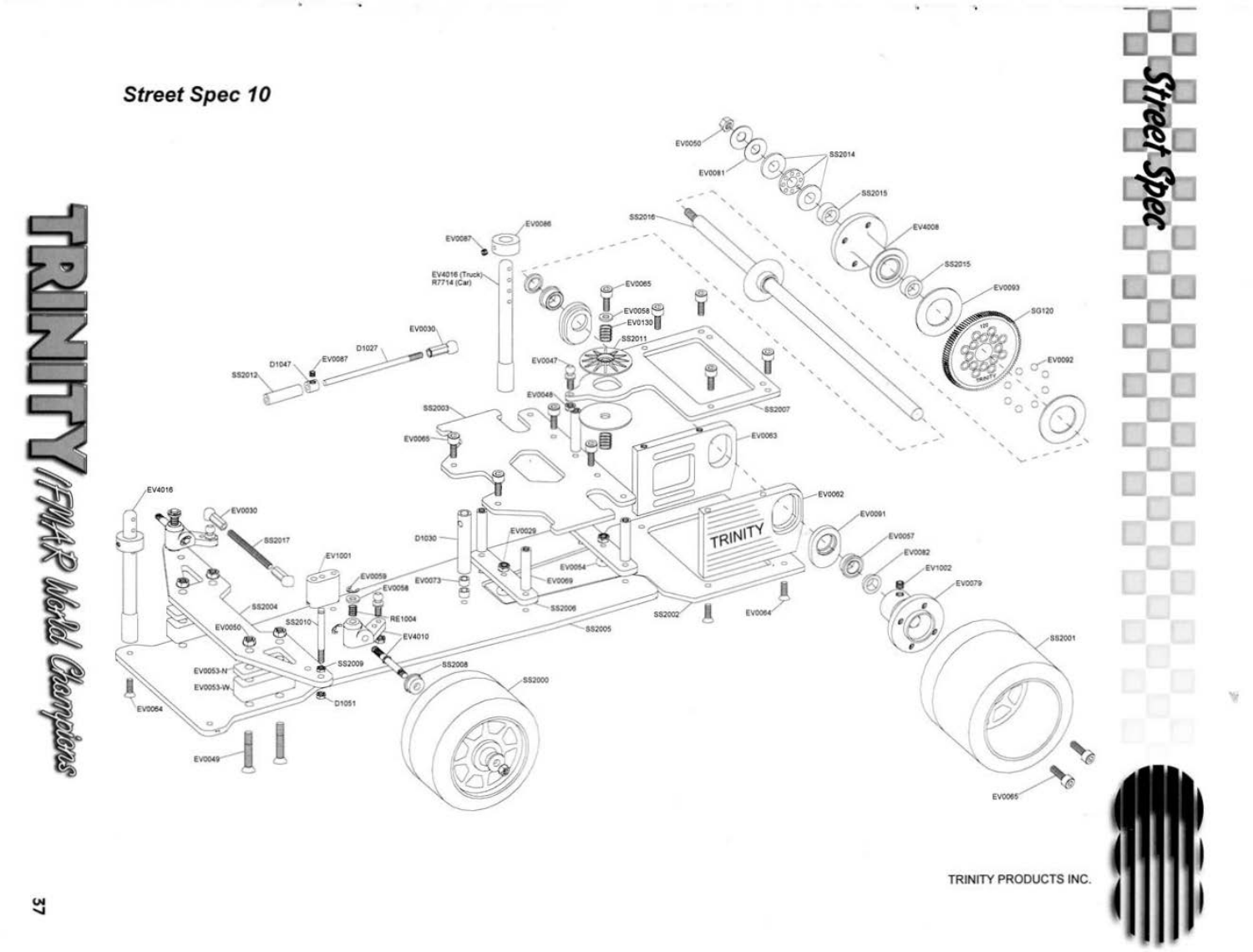

37

TRINITY PRODUCTS INC.